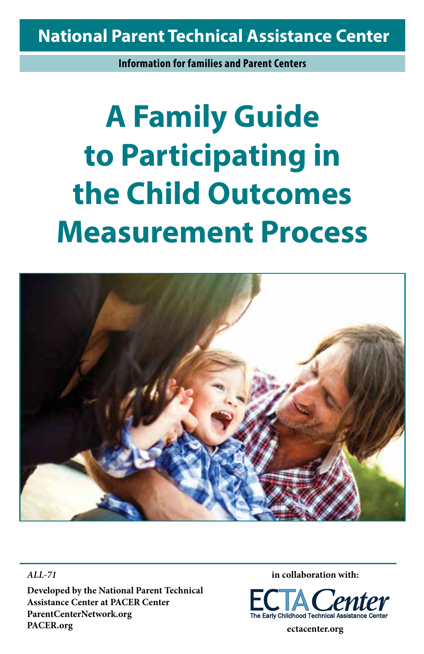### **National Parent Technical Assistance Center**

**Information for families and Parent Centers**

# **A Family Guide to Participating in the Child Outcomes Measurement Process**



*ALL-71* **Developed by the National Parent Technical Assistance Center at PACER Center ParentCenterNetwork.org PACER.org**

**in collaboration with:**



**ectacenter.org**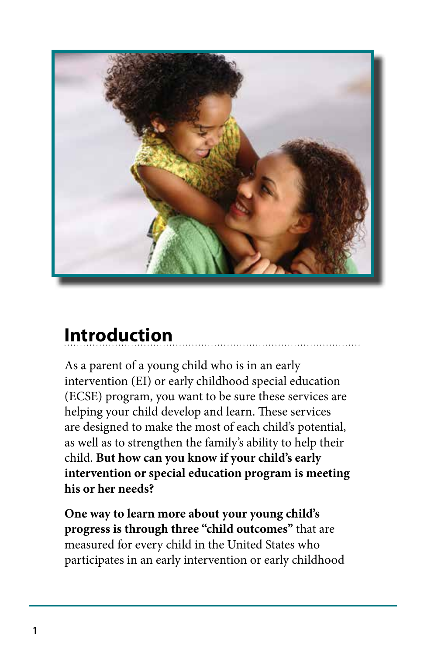

### **Introduction**

As a parent of a young child who is in an early intervention (EI) or early childhood special education (ECSE) program, you want to be sure these services are helping your child develop and learn. These services are designed to make the most of each child's potential, as well as to strengthen the family's ability to help their child. **But how can you know if your child's early intervention or special education program is meeting his or her needs?**

**One way to learn more about your young child's progress is through three "child outcomes"** that are measured for every child in the United States who participates in an early intervention or early childhood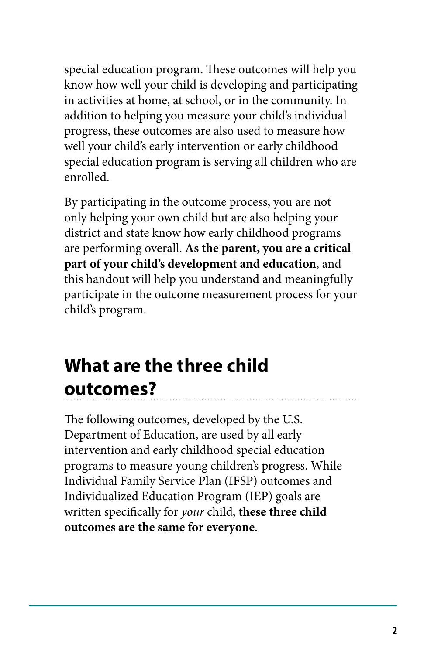special education program. These outcomes will help you know how well your child is developing and participating in activities at home, at school, or in the community. In addition to helping you measure your child's individual progress, these outcomes are also used to measure how well your child's early intervention or early childhood special education program is serving all children who are enrolled.

By participating in the outcome process, you are not only helping your own child but are also helping your district and state know how early childhood programs are performing overall. **As the parent, you are a critical part of your child's development and education**, and this handout will help you understand and meaningfully participate in the outcome measurement process for your child's program.

### **What are the three child outcomes?**

The following outcomes, developed by the U.S. Department of Education, are used by all early intervention and early childhood special education programs to measure young children's progress. While Individual Family Service Plan (IFSP) outcomes and Individualized Education Program (IEP) goals are written specifically for *your* child, **these three child outcomes are the same for everyone**.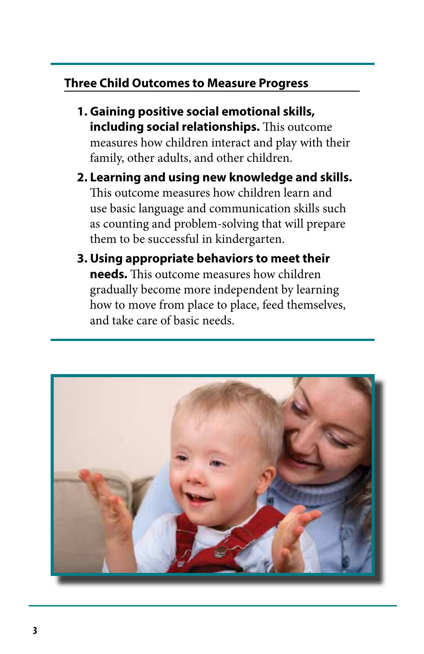#### **Three Child Outcomes to Measure Progress**

- **1. Gaining positive social emotional skills, including social relationships.** This outcome measures how children interact and play with their family, other adults, and other children.
- **2. Learning and using new knowledge and skills.** This outcome measures how children learn and use basic language and communication skills such as counting and problem-solving that will prepare them to be successful in kindergarten.
- **3. Using appropriate behaviors to meet their needs.** This outcome measures how children gradually become more independent by learning how to move from place to place, feed themselves, and take care of basic needs.

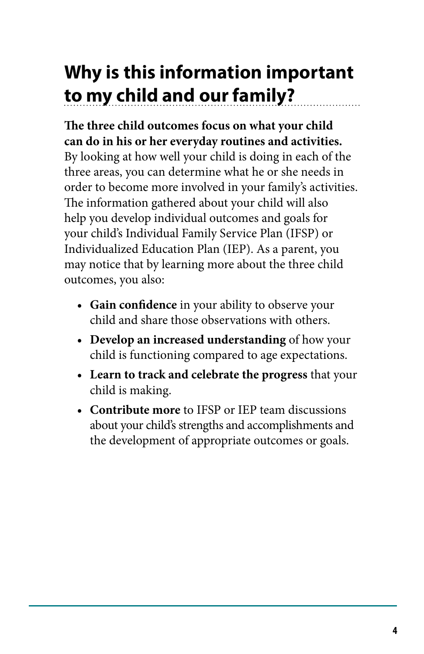## **Why is this information important to my child and our family?**

**The three child outcomes focus on what your child can do in his or her everyday routines and activities.**  By looking at how well your child is doing in each of the three areas, you can determine what he or she needs in order to become more involved in your family's activities. The information gathered about your child will also help you develop individual outcomes and goals for your child's Individual Family Service Plan (IFSP) or Individualized Education Plan (IEP). As a parent, you may notice that by learning more about the three child outcomes, you also:

- **• Gain confidence** in your ability to observe your child and share those observations with others.
- **• Develop an increased understanding** of how your child is functioning compared to age expectations.
- **• Learn to track and celebrate the progress** that your child is making.
- **• Contribute more** to IFSP or IEP team discussions about your child's strengths and accomplishments and the development of appropriate outcomes or goals.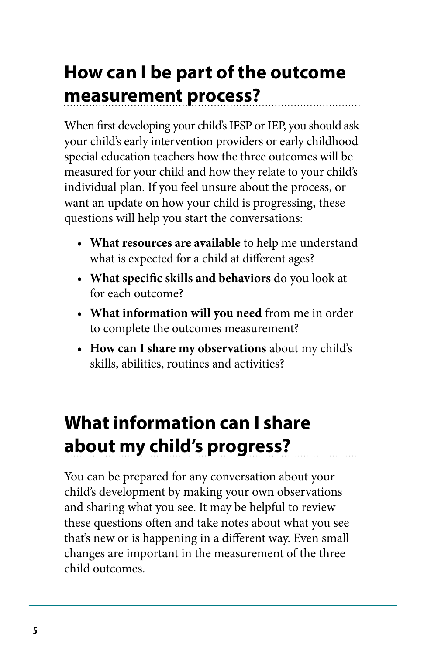### **How can I be part of the outcome measurement process?**

When first developing your child's IFSP or IEP, you should ask your child's early intervention providers or early childhood special education teachers how the three outcomes will be measured for your child and how they relate to your child's individual plan. If you feel unsure about the process, or want an update on how your child is progressing, these questions will help you start the conversations:

- **• What resources are available** to help me understand what is expected for a child at different ages?
- **• What specific skills and behaviors** do you look at for each outcome?
- **• What information will you need** from me in order to complete the outcomes measurement?
- **• How can I share my observations** about my child's skills, abilities, routines and activities?

### **What information can I share about my child's progress?**

You can be prepared for any conversation about your child's development by making your own observations and sharing what you see. It may be helpful to review these questions often and take notes about what you see that's new or is happening in a different way. Even small changes are important in the measurement of the three child outcomes.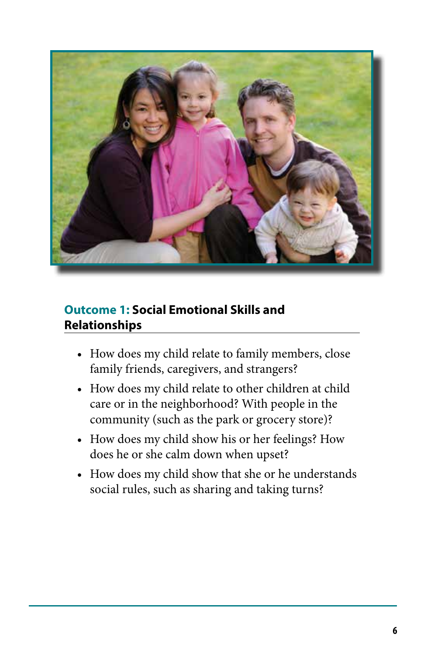

#### **Outcome 1: Social Emotional Skills and Relationships**

- How does my child relate to family members, close family friends, caregivers, and strangers?
- How does my child relate to other children at child care or in the neighborhood? With people in the community (such as the park or grocery store)?
- How does my child show his or her feelings? How does he or she calm down when upset?
- How does my child show that she or he understands social rules, such as sharing and taking turns?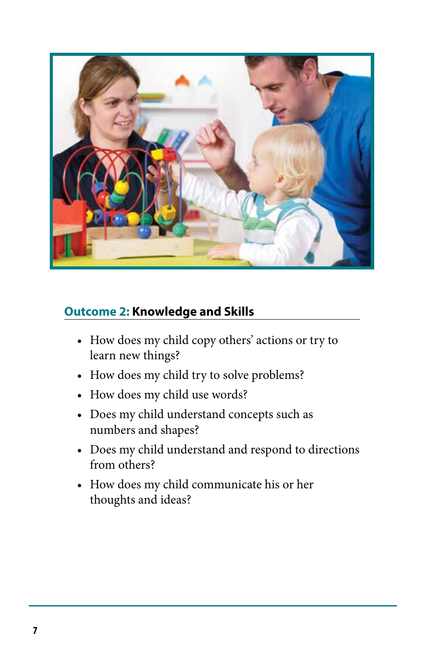

#### **Outcome 2: Knowledge and Skills**

- How does my child copy others' actions or try to learn new things?
- How does my child try to solve problems?
- How does my child use words?
- Does my child understand concepts such as numbers and shapes?
- Does my child understand and respond to directions from others?
- How does my child communicate his or her thoughts and ideas?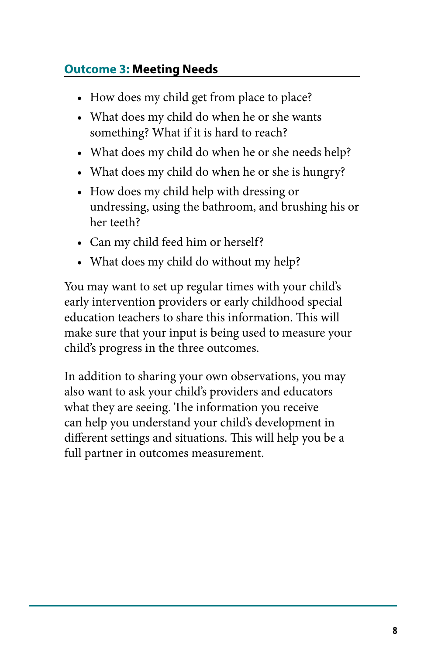#### **Outcome 3: Meeting Needs**

- How does my child get from place to place?
- What does my child do when he or she wants something? What if it is hard to reach?
- What does my child do when he or she needs help?
- What does my child do when he or she is hungry?
- How does my child help with dressing or undressing, using the bathroom, and brushing his or her teeth?
- Can my child feed him or herself?
- What does my child do without my help?

You may want to set up regular times with your child's early intervention providers or early childhood special education teachers to share this information. This will make sure that your input is being used to measure your child's progress in the three outcomes.

In addition to sharing your own observations, you may also want to ask your child's providers and educators what they are seeing. The information you receive can help you understand your child's development in different settings and situations. This will help you be a full partner in outcomes measurement.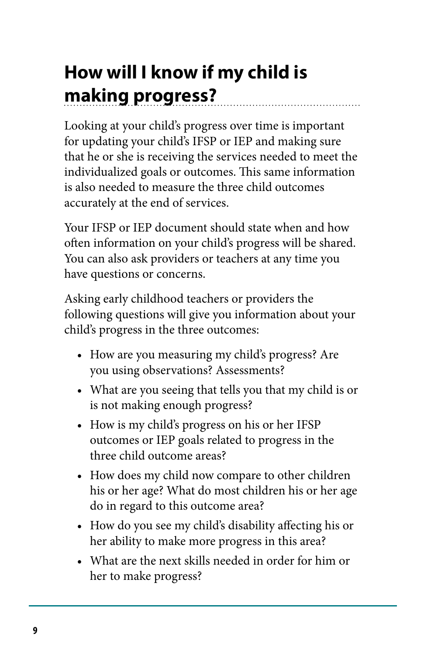# **How will I know if my child is making progress?**

Looking at your child's progress over time is important for updating your child's IFSP or IEP and making sure that he or she is receiving the services needed to meet the individualized goals or outcomes. This same information is also needed to measure the three child outcomes accurately at the end of services.

Your IFSP or IEP document should state when and how often information on your child's progress will be shared. You can also ask providers or teachers at any time you have questions or concerns.

Asking early childhood teachers or providers the following questions will give you information about your child's progress in the three outcomes:

- How are you measuring my child's progress? Are you using observations? Assessments?
- What are you seeing that tells you that my child is or is not making enough progress?
- How is my child's progress on his or her IFSP outcomes or IEP goals related to progress in the three child outcome areas?
- How does my child now compare to other children his or her age? What do most children his or her age do in regard to this outcome area?
- How do you see my child's disability affecting his or her ability to make more progress in this area?
- What are the next skills needed in order for him or her to make progress?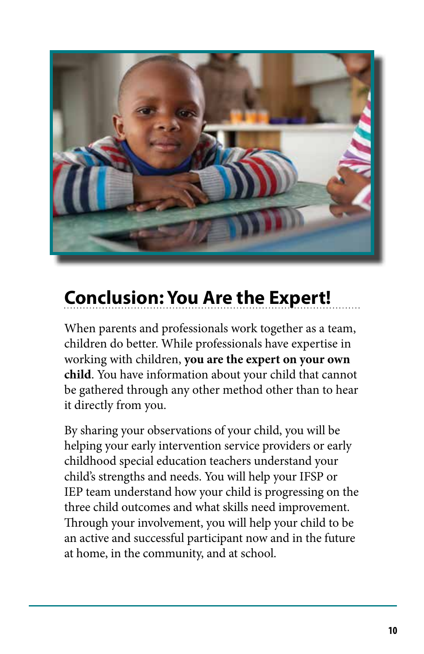

# **Conclusion: You Are the Expert!**

When parents and professionals work together as a team, children do better. While professionals have expertise in working with children, **you are the expert on your own child**. You have information about your child that cannot be gathered through any other method other than to hear it directly from you.

By sharing your observations of your child, you will be helping your early intervention service providers or early childhood special education teachers understand your child's strengths and needs. You will help your IFSP or IEP team understand how your child is progressing on the three child outcomes and what skills need improvement. Through your involvement, you will help your child to be an active and successful participant now and in the future at home, in the community, and at school.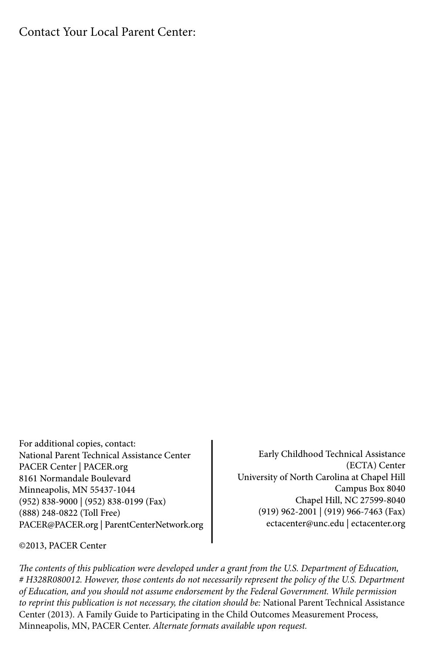#### Contact Your Local Parent Center:

For additional copies, contact: National Parent Technical Assistance Center PACER Center | PACER.org 8161 Normandale Boulevard Minneapolis, MN 55437-1044 (952) 838-9000 | (952) 838-0199 (Fax) (888) 248-0822 (Toll Free) PACER@PACER.org | ParentCenterNetwork.org

Early Childhood Technical Assistance (ECTA) Center University of North Carolina at Chapel Hill Campus Box 8040 Chapel Hill, NC 27599-8040 (919) 962-2001 | (919) 966-7463 (Fax) ectacenter@unc.edu | ectacenter.org

©2013, PACER Center

*The contents of this publication were developed under a grant from the U.S. Department of Education, # H328R080012. However, those contents do not necessarily represent the policy of the U.S. Department of Education, and you should not assume endorsement by the Federal Government. While permission to reprint this publication is not necessary, the citation should be:* National Parent Technical Assistance Center (2013). A Family Guide to Participating in the Child Outcomes Measurement Process, Minneapolis, MN, PACER Center. *Alternate formats available upon request.*